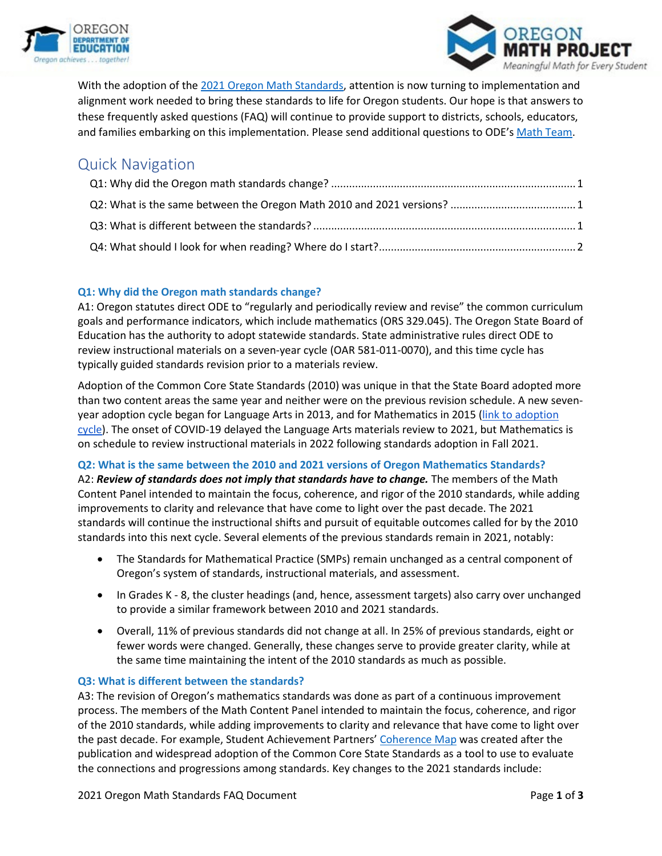



With the adoption of th[e 2021 Oregon Math Standards,](https://www.oregon.gov/ode/educator-resources/standards/mathematics/Pages/MathStandards.aspx) attention is now turning to implementation and alignment work needed to bring these standards to life for Oregon students. Our hope is that answers to these frequently asked questions (FAQ) will continue to provide support to districts, schools, educators, and families embarking on this implementation. Please send additional questions to ODE's [Math Team.](mailto:ODE.MathProject@ode.oregon.gov)

# Quick Navigation

## <span id="page-0-0"></span>**Q1: Why did the Oregon math standards change?**

A1: Oregon statutes direct ODE to "regularly and periodically review and revise" the common curriculum goals and performance indicators, which include mathematics (ORS 329.045). The Oregon State Board of Education has the authority to adopt statewide standards. State administrative rules direct ODE to review instructional materials on a seven-year cycle (OAR 581-011-0070), and this time cycle has typically guided standards revision prior to a materials review.

Adoption of the Common Core State Standards (2010) was unique in that the State Board adopted more than two content areas the same year and neither were on the previous revision schedule. A new sevenyear adoption cycle began for Language Arts in 2013, and for Mathematics in 2015 [\(link to adoption](https://www.oregon.gov/ode/educator-resources/teachingcontent/instructional-materials/SiteAssets/Lists/IMAdoptionSchedule/EditForm/Oregon%20Instructional%20Materials%20Adoption%20Schedule.pdf)  [cycle\)](https://www.oregon.gov/ode/educator-resources/teachingcontent/instructional-materials/SiteAssets/Lists/IMAdoptionSchedule/EditForm/Oregon%20Instructional%20Materials%20Adoption%20Schedule.pdf). The onset of COVID-19 delayed the Language Arts materials review to 2021, but Mathematics is on schedule to review instructional materials in 2022 following standards adoption in Fall 2021.

### <span id="page-0-1"></span>**Q2: What is the same between the 2010 and 2021 versions of Oregon Mathematics Standards?**

A2: *Review of standards does not imply that standards have to change.* The members of the Math Content Panel intended to maintain the focus, coherence, and rigor of the 2010 standards, while adding improvements to clarity and relevance that have come to light over the past decade. The 2021 standards will continue the instructional shifts and pursuit of equitable outcomes called for by the 2010 standards into this next cycle. Several elements of the previous standards remain in 2021, notably:

- The Standards for Mathematical Practice (SMPs) remain unchanged as a central component of Oregon's system of standards, instructional materials, and assessment.
- In Grades K 8, the cluster headings (and, hence, assessment targets) also carry over unchanged to provide a similar framework between 2010 and 2021 standards.
- Overall, 11% of previous standards did not change at all. In 25% of previous standards, eight or fewer words were changed. Generally, these changes serve to provide greater clarity, while at the same time maintaining the intent of the 2010 standards as much as possible.

### <span id="page-0-2"></span>**Q3: What is different between the standards?**

A3: The revision of Oregon's mathematics standards was done as part of a continuous improvement process. The members of the Math Content Panel intended to maintain the focus, coherence, and rigor of the 2010 standards, while adding improvements to clarity and relevance that have come to light over the past decade. For example, Student Achievement Partners' [Coherence Map](https://achievethecore.org/coherence-map/) was created after the publication and widespread adoption of the Common Core State Standards as a tool to use to evaluate the connections and progressions among standards. Key changes to the 2021 standards include: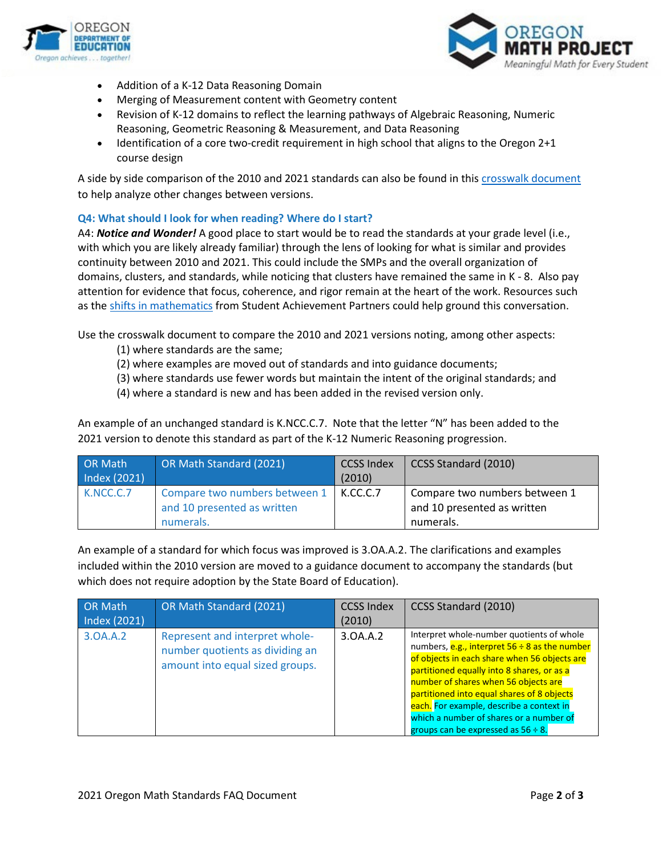



- Addition of a K-12 Data Reasoning Domain
- Merging of Measurement content with Geometry content
- Revision of K-12 domains to reflect the learning pathways of Algebraic Reasoning, Numeric Reasoning, Geometric Reasoning & Measurement, and Data Reasoning
- Identification of a core two-credit requirement in high school that aligns to the Oregon 2+1 course design

A side by side comparison of the 2010 and 2021 standards can also be found in this [crosswalk document](https://www.oregon.gov/ode/educator-resources/standards/mathematics/Documents/1_2021%20Oregon%20Math%20Standards%20Crosswalk%20(v.5.2.1).pdf) to help analyze other changes between versions.

#### <span id="page-1-0"></span>**Q4: What should I look for when reading? Where do I start?**

A4: *Notice and Wonder!* A good place to start would be to read the standards at your grade level (i.e., with which you are likely already familiar) through the lens of looking for what is similar and provides continuity between 2010 and 2021. This could include the SMPs and the overall organization of domains, clusters, and standards, while noticing that clusters have remained the same in K - 8. Also pay attention for evidence that focus, coherence, and rigor remain at the heart of the work. Resources such as th[e shifts in mathematics](https://achievethecore.org/page/900/college-and-career-ready-shifts-in-mathematics) from Student Achievement Partners could help ground this conversation.

Use the crosswalk document to compare the 2010 and 2021 versions noting, among other aspects:

- (1) where standards are the same;
- (2) where examples are moved out of standards and into guidance documents;
- (3) where standards use fewer words but maintain the intent of the original standards; and
- (4) where a standard is new and has been added in the revised version only.

An example of an unchanged standard is K.NCC.C.7. Note that the letter "N" has been added to the 2021 version to denote this standard as part of the K-12 Numeric Reasoning progression.

| <b>OR Math</b> | OR Math Standard (2021)       | <b>CCSS Index</b> | CCSS Standard (2010)          |
|----------------|-------------------------------|-------------------|-------------------------------|
| Index (2021)   |                               | (2010)            |                               |
| K.NCC.C.7      | Compare two numbers between 1 | K.CC.C.7          | Compare two numbers between 1 |
|                | and 10 presented as written   |                   | and 10 presented as written   |
|                | numerals.                     |                   | numerals.                     |

An example of a standard for which focus was improved is 3.OA.A.2. The clarifications and examples included within the 2010 version are moved to a guidance document to accompany the standards (but which does not require adoption by the State Board of Education).

| <b>OR Math</b><br>Index (2021) | OR Math Standard (2021)                                                                              | <b>CCSS Index</b><br>(2010) | CCSS Standard (2010)                                                                                                                                                                                                                                                                                                                                                                                                   |
|--------------------------------|------------------------------------------------------------------------------------------------------|-----------------------------|------------------------------------------------------------------------------------------------------------------------------------------------------------------------------------------------------------------------------------------------------------------------------------------------------------------------------------------------------------------------------------------------------------------------|
| 3.0A.A.2                       | Represent and interpret whole-<br>number quotients as dividing an<br>amount into equal sized groups. | 3.0A.A.2                    | Interpret whole-number quotients of whole<br>numbers, e.g., interpret $56 \div 8$ as the number<br>of objects in each share when 56 objects are<br>partitioned equally into 8 shares, or as a<br>number of shares when 56 objects are<br>partitioned into equal shares of 8 objects<br>each. For example, describe a context in<br>which a number of shares or a number of<br>groups can be expressed as $56 \div 8$ . |